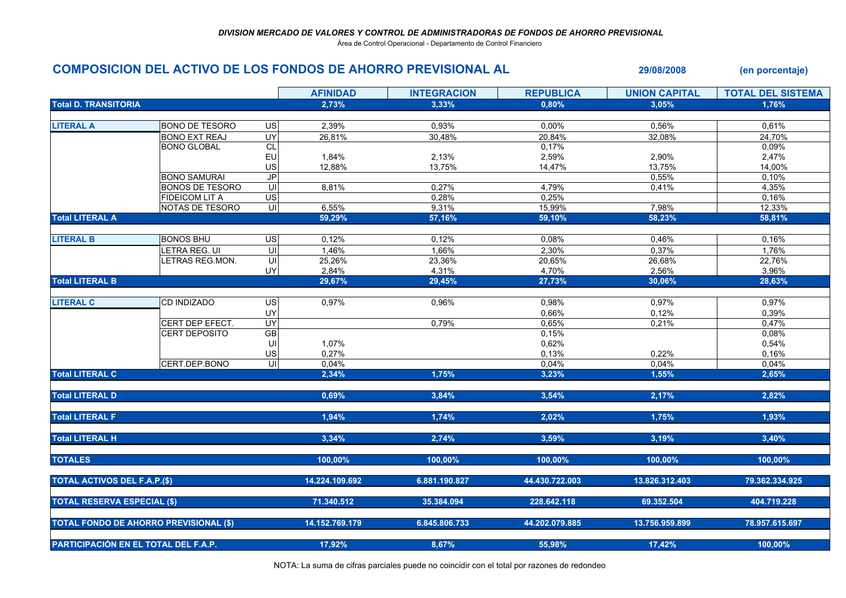Área de Control Operacional - Departamento de Control Financiero

## COMPOSICION DEL ACTIVO DE LOS FONDOS DE AHORRO PREVISIONAL AL 29/08/2008 (en porcentaje) AFINIDAD INTEGRACION REPUBLICA UNION CAPITAL TOTAL DEL SISTEMA Total D. TRANSITORIAA  $2,73\%$   $3,33\%$   $0,80\%$   $3,05\%$   $3,05\%$   $1,76\%$ LITERAL A BONO DE TESORO US 2,39% 0,93% 0,00% 0,56% 0,61%24.70% BONO EXT REAJ UY 26,81% 30,48% 20,84% 32,08% 24,70% $0.09%$ BONO GLOBAL CLL<br>**L**<br>
0,17% % 0,09% 0,09% 0,09% EU 1,84% 2,13% 2,59% 2,90% 2,47%14.00% US 12,88% 13,75% 14,47% 13,75% 14,00% 15,00% 14,00% 14,00% 14,00% 14,00% 15,000 1  $0.10%$ BONO SAMURAI JP $P$  0,55% 0,10% 0,10% 0,10% 0,10% 0,10% 0,10% 0,10% 0,10% 0,10% 0,10% 0,10% 0,10% 0,10% 0,10% 0,10% 0,10% 0,10% 0,10% 0,10% 0,10% 0,10% 0,10% 0,10% 0,10% 0,10% 0,10% 0,10% 0,10% 0,10% 0,10% 0,10% 0,10% 0,10% 0,10% 0,10% 0 4,35% BONOS DE TESORO UI 8,81% 0,27% 4,79% 0,41% 4,35% $0.16%$ FIDEICOM LIT A US  $S$  0,28% 0,25% 0,25%  $\frac{\%}{\%}$  0,16% 0,16% 0,16% NOTAS DE TESORO UI 6,55% 9,31% 15,99% 7,98% 12,33%58.81% Total LITERAL A $\mathsf{A}$  59,29% 59,29% 57,16% 59,10% 58,23% 58,81% 58,81% LITERAL B BONOS BHU US 0,12% 0,12% 0,08% 0,46% 0,16%1.76% LETRA REG. UI UI 1,46% 1,66% 2,30% 0,37% 1,76%22.76% LETRAS REG.MON. UI 25,26% 23,36% 20,65% 26,68% 22,76%3.96% UY 2,84% 4,31% 4,70% 2,56% 3,96%28.63% Total LITERAL BB  $29,67\%$   $29,45\%$   $29,45\%$   $27,73\%$   $30,06\%$   $28,63\%$ LITERAL C CD INDIZADO US 0,97% 0,96% 0,98% 0,97% 0,97%0.39% UY 0,66% 0,12% 0,39% $0.47%$ CERT DEP EFECT. UY 0,79% 0,65% 0,21% 0,47%0.08% CERT DEPOSITO GB $\mathsf{B}$  0,15%  $\%$  0,08% 0,08% 0,08% 0,08% 0,08% 0,08% 0,08% 0,08% 0,08% 0,08% 0,08% 0,08% 0,08% 0,08% 0,08% 0,08% 0,08% 0,08% 0,08% 0,08% 0,08% 0,08% 0,08% 0,08% 0,08% 0,08% 0,08% 0,08% 0,08% 0,08% 0,08% 0,08% 0,08% 0,08% 0,08% 0,08% UI 1,07%<br>US 0.27%  $0,62\%$  0,54% 0,54% 0,54% 0,54% 0,54% 0,54% 0,54% 0,54% 0,54% 0,54% 0,54% 0,54% 0,54% 0,54% 0,54% 0,54% 0,54% 0,54% 0,54% 0,54% 0,54% 0,54% 0,54% 0,54% 0,54% 0,54% 0,54% 0,54% 0,54% 0,54% 0,54% 0,54% 0,54% 0,54% 0,54% 0,  $\frac{10}{10}$  0,27%<br>  $\frac{0.27}{10}$  $\frac{\%}{\%}$  0,18% 0,22% 0,22% 0,16% 0,16% 0,22% 0,22% 0,000 0,000 0,000 0,000 0,000 0,000 0,000 0,000 0,000 0,000 0,000 0,000 0,000 0,000 0,000 0,000 0,000 0,000 0,000 0,000 0,000 0,000 0,000 0,000 0,000 0,000 0,000 0,000 CERT.DEP.BONO UI 0,04%<br>2.34% 2.34%  $\frac{\%}{\%}$  0,04% 0,04% 0,04% 0,04% 0,04% 0,04% 0,04% 0,04% 0,04% Total LITERAL C $2,34\%$  2,34% 1,75% 3,23% 1,55% 2,65% Total LITERAL DD  $0,69\%$  3,84%  $3,54\%$  3,54%  $2,17\%$  2,82% Total LITERAL FF and the contract of the contract of the contract of the contract of the contract of the contract of the contract of the contract of the contract of the contract of the contract of the contract of the contract of the con Total LITERAL H $\,$  3,34% 3,34% 3,59% 3,59% 3,19% 3,40% TOTALES $\bf S$  100,00% 100,00% 100,00% 100,00% 100,00% 100,00% 100,00% 100,00% 100,00% 100,00% 100,00% 100,00% 100,00% 100,00% 100,00% 100,00% 100,00% 100,00% 100,00% 100,00% 100,00% 100,00% 100,00% 100,00% 100,000 100,000 100,000 TOTAL ACTIVOS DEL F.A.P.(\$) 14.224.109.692 6.881.190.827 44.430.722.003 13.826.312.403 79.362.334.925 TOTAL RESERVA ESPECIAL (\$) 71.340.512 35.384.094 228.642.118 69.352.504 404.719.228 TOTAL FONDO DE AHORRO PREVISIONAL (\$) 14.152.769.179 6.845.806.733 44.202.079.885 13.756.959.899 78.957.615.697 PARTICIPACIÓN EN EL TOTAL DEL F.A.P. 17,92% 8,67% 55,98% 17,42% 100,00%

NOTA: La suma de cifras parciales puede no coincidir con el total por razones de redondeo